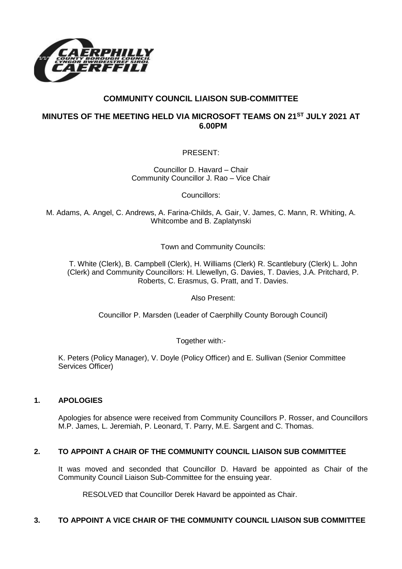

# **COMMUNITY COUNCIL LIAISON SUB-COMMITTEE**

# **MINUTES OF THE MEETING HELD VIA MICROSOFT TEAMS ON 21ST JULY 2021 AT 6.00PM**

PRESENT:

Councillor D. Havard – Chair Community Councillor J. Rao – Vice Chair

Councillors:

M. Adams, A. Angel, C. Andrews, A. Farina-Childs, A. Gair, V. James, C. Mann, R. Whiting, A. Whitcombe and B. Zaplatynski

Town and Community Councils:

T. White (Clerk), B. Campbell (Clerk), H. Williams (Clerk) R. Scantlebury (Clerk) L. John (Clerk) and Community Councillors: H. Llewellyn, G. Davies, T. Davies, J.A. Pritchard, P. Roberts, C. Erasmus, G. Pratt, and T. Davies.

Also Present:

Councillor P. Marsden (Leader of Caerphilly County Borough Council)

Together with:-

K. Peters (Policy Manager), V. Doyle (Policy Officer) and E. Sullivan (Senior Committee Services Officer)

## **1. APOLOGIES**

Apologies for absence were received from Community Councillors P. Rosser, and Councillors M.P. James, L. Jeremiah, P. Leonard, T. Parry, M.E. Sargent and C. Thomas.

### **2. TO APPOINT A CHAIR OF THE COMMUNITY COUNCIL LIAISON SUB COMMITTEE**

It was moved and seconded that Councillor D. Havard be appointed as Chair of the Community Council Liaison Sub-Committee for the ensuing year.

RESOLVED that Councillor Derek Havard be appointed as Chair.

### **3. TO APPOINT A VICE CHAIR OF THE COMMUNITY COUNCIL LIAISON SUB COMMITTEE**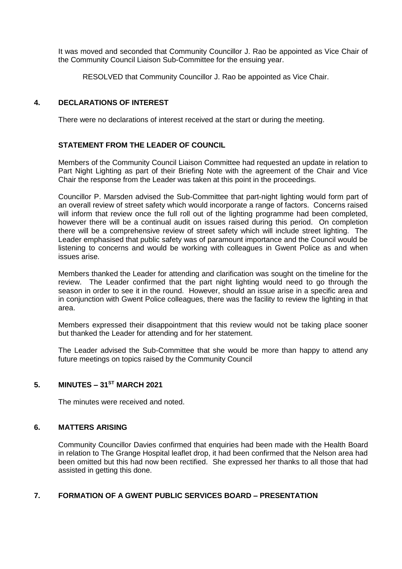It was moved and seconded that Community Councillor J. Rao be appointed as Vice Chair of the Community Council Liaison Sub-Committee for the ensuing year.

RESOLVED that Community Councillor J. Rao be appointed as Vice Chair.

### **4. DECLARATIONS OF INTEREST**

There were no declarations of interest received at the start or during the meeting.

## **STATEMENT FROM THE LEADER OF COUNCIL**

Members of the Community Council Liaison Committee had requested an update in relation to Part Night Lighting as part of their Briefing Note with the agreement of the Chair and Vice Chair the response from the Leader was taken at this point in the proceedings.

Councillor P. Marsden advised the Sub-Committee that part-night lighting would form part of an overall review of street safety which would incorporate a range of factors. Concerns raised will inform that review once the full roll out of the lighting programme had been completed, however there will be a continual audit on issues raised during this period. On completion there will be a comprehensive review of street safety which will include street lighting. The Leader emphasised that public safety was of paramount importance and the Council would be listening to concerns and would be working with colleagues in Gwent Police as and when issues arise.

Members thanked the Leader for attending and clarification was sought on the timeline for the review. The Leader confirmed that the part night lighting would need to go through the season in order to see it in the round. However, should an issue arise in a specific area and in conjunction with Gwent Police colleagues, there was the facility to review the lighting in that area.

Members expressed their disappointment that this review would not be taking place sooner but thanked the Leader for attending and for her statement.

The Leader advised the Sub-Committee that she would be more than happy to attend any future meetings on topics raised by the Community Council

## **5. MINUTES – 31ST MARCH 2021**

The minutes were received and noted.

### **6. MATTERS ARISING**

Community Councillor Davies confirmed that enquiries had been made with the Health Board in relation to The Grange Hospital leaflet drop, it had been confirmed that the Nelson area had been omitted but this had now been rectified. She expressed her thanks to all those that had assisted in getting this done.

### **7. FORMATION OF A GWENT PUBLIC SERVICES BOARD – PRESENTATION**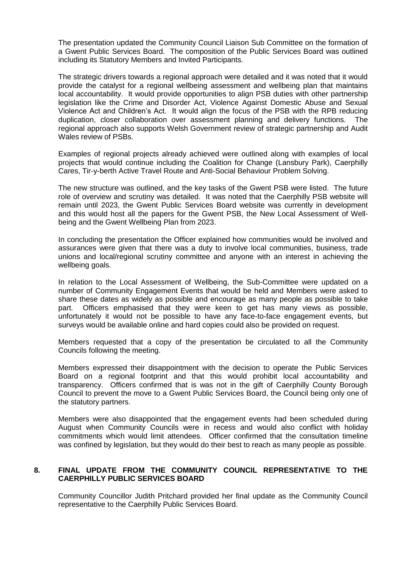The presentation updated the Community Council Liaison Sub Committee on the formation of a Gwent Public Services Board. The composition of the Public Services Board was outlined including its Statutory Members and Invited Participants.

The strategic drivers towards a regional approach were detailed and it was noted that it would provide the catalyst for a regional wellbeing assessment and wellbeing plan that maintains local accountability. It would provide opportunities to align PSB duties with other partnership legislation like the Crime and Disorder Act, Violence Against Domestic Abuse and Sexual Violence Act and Children's Act. It would align the focus of the PSB with the RPB reducing duplication, closer collaboration over assessment planning and delivery functions. The regional approach also supports Welsh Government review of strategic partnership and Audit Wales review of PSBs.

Examples of regional projects already achieved were outlined along with examples of local projects that would continue including the Coalition for Change (Lansbury Park), Caerphilly Cares, Tir-y-berth Active Travel Route and Anti-Social Behaviour Problem Solving.

The new structure was outlined, and the key tasks of the Gwent PSB were listed. The future role of overview and scrutiny was detailed. It was noted that the Caerphilly PSB website will remain until 2023, the Gwent Public Services Board website was currently in development and this would host all the papers for the Gwent PSB, the New Local Assessment of Wellbeing and the Gwent Wellbeing Plan from 2023.

In concluding the presentation the Officer explained how communities would be involved and assurances were given that there was a duty to involve local communities, business, trade unions and local/regional scrutiny committee and anyone with an interest in achieving the wellbeing goals.

In relation to the Local Assessment of Wellbeing, the Sub-Committee were updated on a number of Community Engagement Events that would be held and Members were asked to share these dates as widely as possible and encourage as many people as possible to take part. Officers emphasised that they were keen to get has many views as possible, unfortunately it would not be possible to have any face-to-face engagement events, but surveys would be available online and hard copies could also be provided on request.

Members requested that a copy of the presentation be circulated to all the Community Councils following the meeting.

Members expressed their disappointment with the decision to operate the Public Services Board on a regional footprint and that this would prohibit local accountability and transparency. Officers confirmed that is was not in the gift of Caerphilly County Borough Council to prevent the move to a Gwent Public Services Board, the Council being only one of the statutory partners.

Members were also disappointed that the engagement events had been scheduled during August when Community Councils were in recess and would also conflict with holiday commitments which would limit attendees. Officer confirmed that the consultation timeline was confined by legislation, but they would do their best to reach as many people as possible.

### **8. FINAL UPDATE FROM THE COMMUNITY COUNCIL REPRESENTATIVE TO THE CAERPHILLY PUBLIC SERVICES BOARD**

Community Councillor Judith Pritchard provided her final update as the Community Council representative to the Caerphilly Public Services Board.